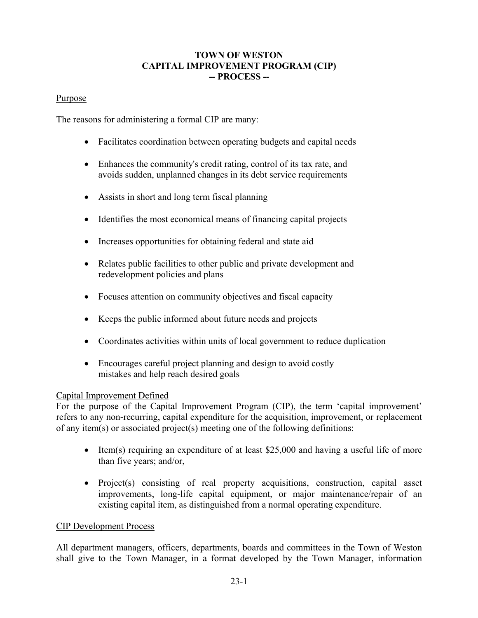## **TOWN OF WESTON CAPITAL IMPROVEMENT PROGRAM (CIP) -- PROCESS --**

### **Purpose**

The reasons for administering a formal CIP are many:

- Facilitates coordination between operating budgets and capital needs
- Enhances the community's credit rating, control of its tax rate, and avoids sudden, unplanned changes in its debt service requirements
- Assists in short and long term fiscal planning
- Identifies the most economical means of financing capital projects
- Increases opportunities for obtaining federal and state aid
- Relates public facilities to other public and private development and redevelopment policies and plans
- Focuses attention on community objectives and fiscal capacity
- Keeps the public informed about future needs and projects
- Coordinates activities within units of local government to reduce duplication
- Encourages careful project planning and design to avoid costly mistakes and help reach desired goals

## Capital Improvement Defined

For the purpose of the Capital Improvement Program (CIP), the term 'capital improvement' refers to any non-recurring, capital expenditure for the acquisition, improvement, or replacement of any item(s) or associated project(s) meeting one of the following definitions:

- Item(s) requiring an expenditure of at least  $$25,000$  and having a useful life of more than five years; and/or,
- Project(s) consisting of real property acquisitions, construction, capital asset improvements, long-life capital equipment, or major maintenance/repair of an existing capital item, as distinguished from a normal operating expenditure.

## CIP Development Process

All department managers, officers, departments, boards and committees in the Town of Weston shall give to the Town Manager, in a format developed by the Town Manager, information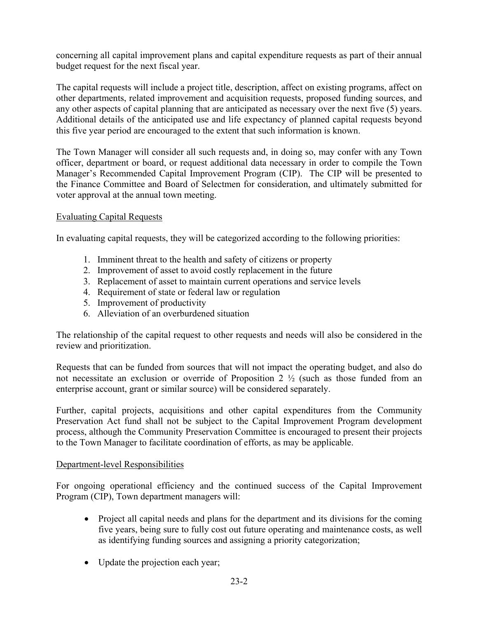concerning all capital improvement plans and capital expenditure requests as part of their annual budget request for the next fiscal year.

The capital requests will include a project title, description, affect on existing programs, affect on other departments, related improvement and acquisition requests, proposed funding sources, and any other aspects of capital planning that are anticipated as necessary over the next five (5) years. Additional details of the anticipated use and life expectancy of planned capital requests beyond this five year period are encouraged to the extent that such information is known.

The Town Manager will consider all such requests and, in doing so, may confer with any Town officer, department or board, or request additional data necessary in order to compile the Town Manager's Recommended Capital Improvement Program (CIP). The CIP will be presented to the Finance Committee and Board of Selectmen for consideration, and ultimately submitted for voter approval at the annual town meeting.

# Evaluating Capital Requests

In evaluating capital requests, they will be categorized according to the following priorities:

- 1. Imminent threat to the health and safety of citizens or property
- 2. Improvement of asset to avoid costly replacement in the future
- 3. Replacement of asset to maintain current operations and service levels
- 4. Requirement of state or federal law or regulation
- 5. Improvement of productivity
- 6. Alleviation of an overburdened situation

The relationship of the capital request to other requests and needs will also be considered in the review and prioritization.

Requests that can be funded from sources that will not impact the operating budget, and also do not necessitate an exclusion or override of Proposition 2 ½ (such as those funded from an enterprise account, grant or similar source) will be considered separately.

Further, capital projects, acquisitions and other capital expenditures from the Community Preservation Act fund shall not be subject to the Capital Improvement Program development process, although the Community Preservation Committee is encouraged to present their projects to the Town Manager to facilitate coordination of efforts, as may be applicable.

## Department-level Responsibilities

For ongoing operational efficiency and the continued success of the Capital Improvement Program (CIP), Town department managers will:

- Project all capital needs and plans for the department and its divisions for the coming five years, being sure to fully cost out future operating and maintenance costs, as well as identifying funding sources and assigning a priority categorization;
- Update the projection each year;